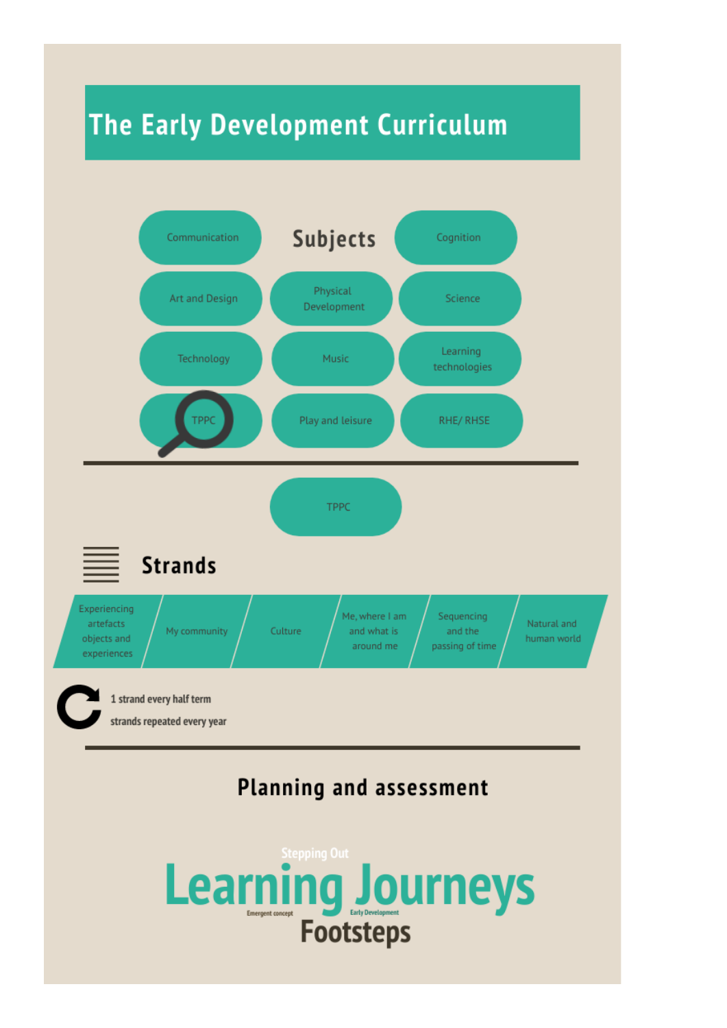## **The Early Development Curriculum**

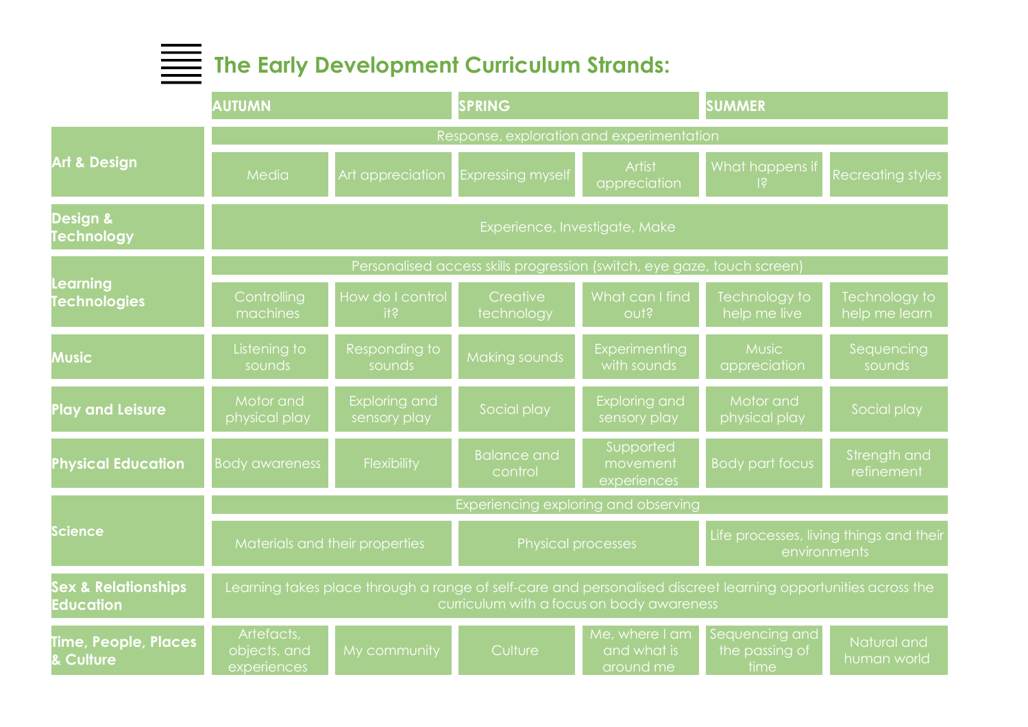## **The Early Development Curriculum Strands:**

|                                                    | <b>AUTUMN</b>                                                                                                                                              |                                      | <b>SPRING</b>                 |                                            | <b>SUMMER</b>                                           |                                |  |  |  |  |
|----------------------------------------------------|------------------------------------------------------------------------------------------------------------------------------------------------------------|--------------------------------------|-------------------------------|--------------------------------------------|---------------------------------------------------------|--------------------------------|--|--|--|--|
| <b>Art &amp; Design</b>                            | Response, exploration and experimentation                                                                                                                  |                                      |                               |                                            |                                                         |                                |  |  |  |  |
|                                                    | Media                                                                                                                                                      | Art appreciation                     | <b>Expressing myself</b>      | Artist<br>appreciation                     | What happens if<br>$\overline{3}$                       | Recreating styles              |  |  |  |  |
| <b>Design &amp;</b><br>Technology                  | Experience, Investigate, Make                                                                                                                              |                                      |                               |                                            |                                                         |                                |  |  |  |  |
| Learning<br><b>Technologies</b>                    | Personalised access skills progression (switch, eye gaze, touch screen)                                                                                    |                                      |                               |                                            |                                                         |                                |  |  |  |  |
|                                                    | Controlling<br>machines                                                                                                                                    | How do I control<br>i                | Creative<br>technology        | What can I find<br>outs                    | Technology to<br>help me live                           | Technology to<br>help me learn |  |  |  |  |
| <b>Music</b>                                       | Listening to<br>sounds                                                                                                                                     | Responding to<br>sounds              | Making sounds                 | Experimenting<br>with sounds               | <b>Music</b><br>appreciation                            | Sequencing<br>sounds           |  |  |  |  |
| <b>Play and Leisure</b>                            | Motor and<br>physical play                                                                                                                                 | <b>Exploring and</b><br>sensory play | Social play                   | Exploring and<br>sensory play              | Motor and<br>physical play                              | Social play                    |  |  |  |  |
| <b>Physical Education</b>                          | <b>Body awareness</b>                                                                                                                                      | Flexibility                          | <b>Balance and</b><br>control | Supported<br>movement<br>experiences       | <b>Body part focus</b>                                  | Strength and<br>refinement     |  |  |  |  |
| Science                                            | Experiencing exploring and observing                                                                                                                       |                                      |                               |                                            |                                                         |                                |  |  |  |  |
|                                                    | Materials and their properties                                                                                                                             |                                      | <b>Physical processes</b>     |                                            | Life processes, living things and their<br>environments |                                |  |  |  |  |
| <b>Sex &amp; Relationships</b><br><b>Education</b> | Learning takes place through a range of self-care and personalised discreet learning opportunities across the<br>curriculum with a focus on body awareness |                                      |                               |                                            |                                                         |                                |  |  |  |  |
| Time, People, Places<br><b>Culture</b>             | Artefacts,<br>objects, and<br>experiences                                                                                                                  | My community                         | Culture                       | Me, where I am<br>and what is<br>around me | Sequencing and<br>the passing of<br>time                | Natural and<br>human world     |  |  |  |  |